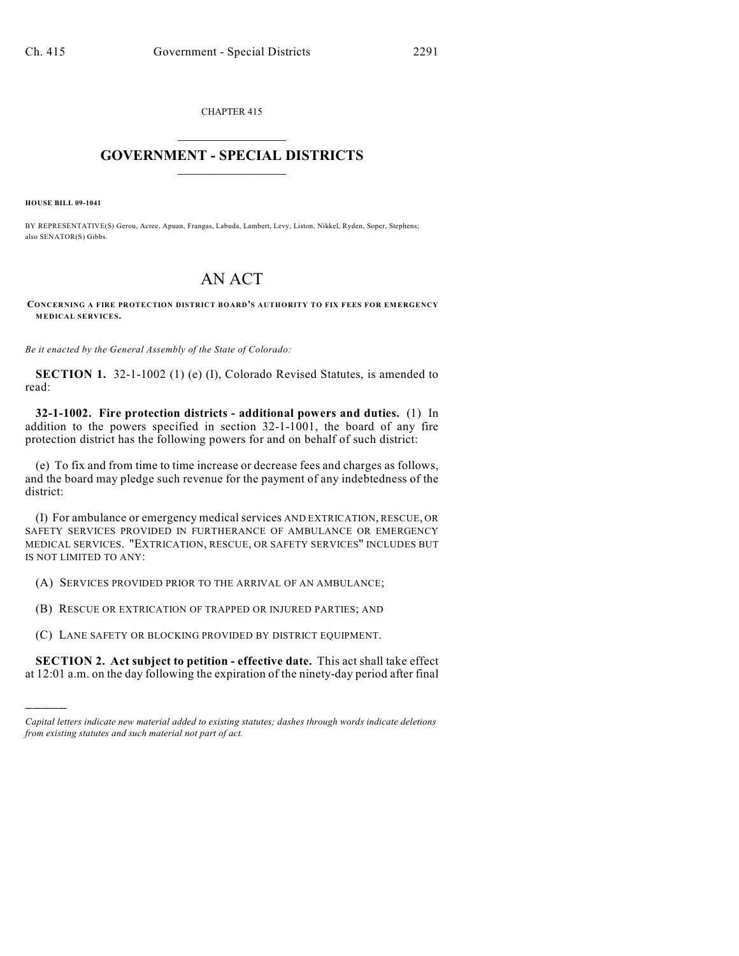CHAPTER 415  $\mathcal{L}_\text{max}$  . The set of the set of the set of the set of the set of the set of the set of the set of the set of the set of the set of the set of the set of the set of the set of the set of the set of the set of the set

## **GOVERNMENT - SPECIAL DISTRICTS**  $\_$

**HOUSE BILL 09-1041**

)))))

BY REPRESENTATIVE(S) Gerou, Acree, Apuan, Frangas, Labuda, Lambert, Levy, Liston, Nikkel, Ryden, Soper, Stephens; also SENATOR(S) Gibbs.

## AN ACT

**CONCERNING A FIRE PROTECTION DISTRICT BOARD'S AUTHORITY TO FIX FEES FOR EMERGENCY MEDICAL SERVICES.**

*Be it enacted by the General Assembly of the State of Colorado:*

**SECTION 1.** 32-1-1002 (1) (e) (I), Colorado Revised Statutes, is amended to read:

**32-1-1002. Fire protection districts - additional powers and duties.** (1) In addition to the powers specified in section 32-1-1001, the board of any fire protection district has the following powers for and on behalf of such district:

(e) To fix and from time to time increase or decrease fees and charges as follows, and the board may pledge such revenue for the payment of any indebtedness of the district:

(I) For ambulance or emergency medical services AND EXTRICATION, RESCUE, OR SAFETY SERVICES PROVIDED IN FURTHERANCE OF AMBULANCE OR EMERGENCY MEDICAL SERVICES. "EXTRICATION, RESCUE, OR SAFETY SERVICES" INCLUDES BUT IS NOT LIMITED TO ANY:

(A) SERVICES PROVIDED PRIOR TO THE ARRIVAL OF AN AMBULANCE;

(B) RESCUE OR EXTRICATION OF TRAPPED OR INJURED PARTIES; AND

(C) LANE SAFETY OR BLOCKING PROVIDED BY DISTRICT EQUIPMENT.

**SECTION 2. Act subject to petition - effective date.** This act shall take effect at 12:01 a.m. on the day following the expiration of the ninety-day period after final

*Capital letters indicate new material added to existing statutes; dashes through words indicate deletions from existing statutes and such material not part of act.*